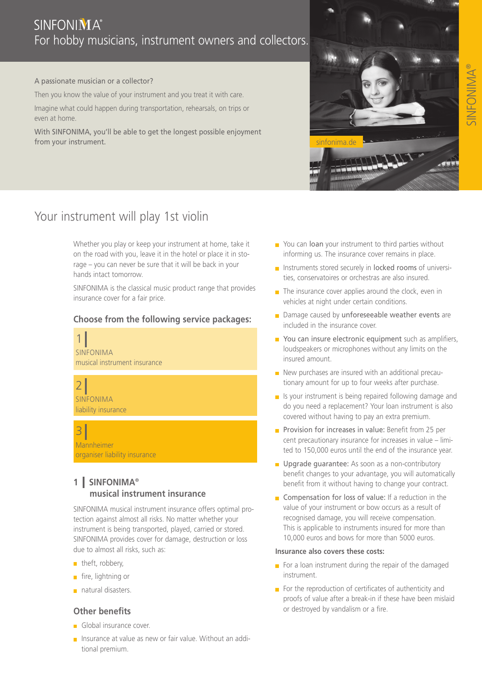#### A passionate musician or a collector?

Then you know the value of your instrument and you treat it with care.

Imagine what could happen during transportation, rehearsals, on trips or even at home.

With SINFONIMA, you'll be able to get the longest possible enjoyment from your instrument.





# Your instrument will play 1st violin

Whether you play or keep your instrument at home, take it on the road with you, leave it in the hotel or place it in storage – you can never be sure that it will be back in your hands intact tomorrow.

SINFONIMA is the classical music product range that provides insurance cover for a fair price.

## **Choose from the following service packages:**



SINFONIMA liability insurance

3 **Mannheimer** organiser liability insurance

# **1 SINFONIMA® musical instrument insurance**

SINFONIMA musical instrument insurance offers optimal protection against almost all risks. No matter whether your instrument is being transported, played, carried or stored. SINFONIMA provides cover for damage, destruction or loss due to almost all risks, such as:

- theft, robbery,
- $\blacksquare$  fire, lightning or
- natural disasters.

### **Other benefits**

- **Global insurance cover.**
- Insurance at value as new or fair value. Without an additional premium.
- $\blacksquare$  You can loan your instrument to third parties without informing us. The insurance cover remains in place.
- $\blacksquare$  Instruments stored securely in locked rooms of universities, conservatoires or orchestras are also insured.
- $\blacksquare$  The insurance cover applies around the clock, even in vehicles at night under certain conditions.
- Damage caused by unforeseeable weather events are included in the insurance cover.
- You can insure electronic equipment such as amplifiers, loudspeakers or microphones without any limits on the insured amount.
- $\blacksquare$  New purchases are insured with an additional precautionary amount for up to four weeks after purchase.
- $\blacksquare$  Is your instrument is being repaired following damage and do you need a replacement? Your loan instrument is also covered without having to pay an extra premium.
- **Provision for increases in value:** Benefit from 25 per cent precautionary insurance for increases in value – limited to 150,000 euros until the end of the insurance year.
- **D** Upgrade guarantee: As soon as a non-contributory benefit changes to your advantage, you will automatically benefit from it without having to change your contract.
- Compensation for loss of value: If a reduction in the value of your instrument or bow occurs as a result of recognised damage, you will receive compensation. This is applicable to instruments insured for more than 10,000 euros and bows for more than 5000 euros.

#### **Insurance also covers these costs:**

- For a loan instrument during the repair of the damaged instrument.
- For the reproduction of certificates of authenticity and proofs of value after a break-in if these have been mislaid or destroyed by vandalism or a fire.